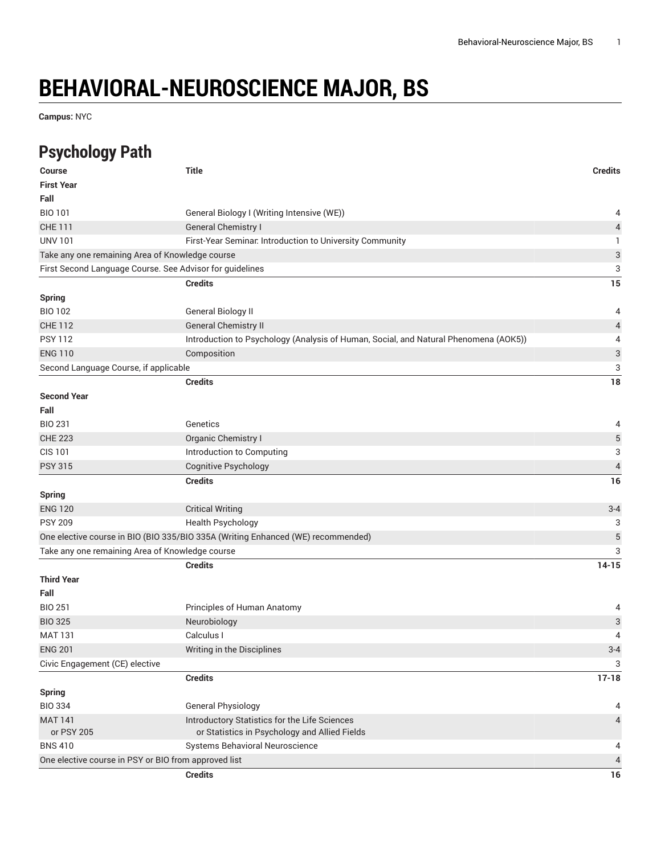## **BEHAVIORAL-NEUROSCIENCE MAJOR, BS**

**Campus:** NYC

## **Psychology Path**

| Course                                | <b>Title</b>                                                                         | <b>Credits</b>            |
|---------------------------------------|--------------------------------------------------------------------------------------|---------------------------|
| <b>First Year</b>                     |                                                                                      |                           |
| Fall                                  |                                                                                      |                           |
| <b>BIO 101</b>                        | General Biology I (Writing Intensive (WE))                                           | 4                         |
| <b>CHE 111</b>                        | <b>General Chemistry I</b>                                                           | $\sqrt{4}$                |
| <b>UNV 101</b>                        | First-Year Seminar. Introduction to University Community                             | 1                         |
|                                       | Take any one remaining Area of Knowledge course                                      | $\ensuremath{\mathsf{3}}$ |
|                                       | First Second Language Course. See Advisor for guidelines                             | 3                         |
|                                       | <b>Credits</b>                                                                       | 15                        |
| Spring                                |                                                                                      |                           |
| <b>BIO 102</b>                        | General Biology II                                                                   | 4                         |
| <b>CHE 112</b>                        | <b>General Chemistry II</b>                                                          | $\overline{a}$            |
| <b>PSY 112</b>                        | Introduction to Psychology (Analysis of Human, Social, and Natural Phenomena (AOK5)) | 4                         |
| <b>ENG 110</b>                        | Composition                                                                          | 3                         |
| Second Language Course, if applicable |                                                                                      | 3                         |
|                                       | <b>Credits</b>                                                                       | 18                        |
| <b>Second Year</b>                    |                                                                                      |                           |
| Fall                                  |                                                                                      |                           |
| <b>BIO 231</b>                        | Genetics                                                                             | 4                         |
| <b>CHE 223</b>                        | Organic Chemistry I                                                                  | $\mathbf 5$               |
| <b>CIS 101</b>                        | Introduction to Computing                                                            | 3                         |
| <b>PSY 315</b>                        | <b>Cognitive Psychology</b>                                                          | $\sqrt{4}$                |
|                                       | <b>Credits</b>                                                                       | 16                        |
| <b>Spring</b>                         |                                                                                      |                           |
| <b>ENG 120</b>                        | <b>Critical Writing</b>                                                              | $3 - 4$                   |
| <b>PSY 209</b>                        | <b>Health Psychology</b>                                                             | 3                         |
|                                       | One elective course in BIO (BIO 335/BIO 335A (Writing Enhanced (WE) recommended)     | $\sqrt{5}$                |
|                                       | Take any one remaining Area of Knowledge course                                      | 3                         |
|                                       | <b>Credits</b>                                                                       | $14 - 15$                 |
| <b>Third Year</b>                     |                                                                                      |                           |
| Fall                                  |                                                                                      |                           |
| <b>BIO 251</b>                        | Principles of Human Anatomy                                                          | 4                         |
| <b>BIO 325</b>                        | Neurobiology                                                                         | $\ensuremath{\mathsf{3}}$ |
| <b>MAT 131</b>                        | Calculus I                                                                           | 4                         |
| <b>ENG 201</b>                        | Writing in the Disciplines                                                           | $3 - 4$                   |
| Civic Engagement (CE) elective        |                                                                                      | 3                         |
|                                       | <b>Credits</b>                                                                       | $17 - 18$                 |
| <b>Spring</b>                         |                                                                                      |                           |
| <b>BIO 334</b>                        | <b>General Physiology</b>                                                            | 4                         |
| <b>MAT 141</b>                        | Introductory Statistics for the Life Sciences                                        | 4                         |
| or PSY 205                            | or Statistics in Psychology and Allied Fields                                        |                           |
| <b>BNS 410</b>                        | Systems Behavioral Neuroscience                                                      | 4                         |
|                                       | One elective course in PSY or BIO from approved list                                 | 4                         |
|                                       | <b>Credits</b>                                                                       | $16$                      |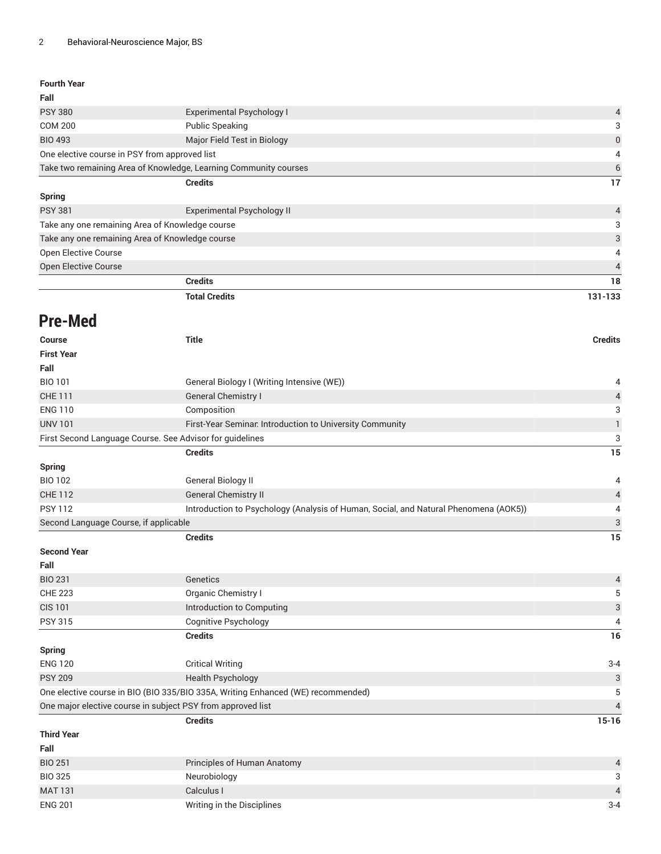| <b>Fourth Year</b> |  |
|--------------------|--|
|--------------------|--|

| Fall                                                             |                                   |                |
|------------------------------------------------------------------|-----------------------------------|----------------|
| <b>PSY 380</b>                                                   | <b>Experimental Psychology I</b>  | $\overline{4}$ |
| <b>COM 200</b>                                                   | <b>Public Speaking</b>            | 3              |
| <b>BIO 493</b>                                                   | Major Field Test in Biology       | $\mathbf 0$    |
| One elective course in PSY from approved list                    |                                   | 4              |
| Take two remaining Area of Knowledge, Learning Community courses |                                   | 6              |
|                                                                  | <b>Credits</b>                    | 17             |
| Spring                                                           |                                   |                |
| <b>PSY 381</b>                                                   | <b>Experimental Psychology II</b> | $\overline{4}$ |
| Take any one remaining Area of Knowledge course                  |                                   | 3              |
| Take any one remaining Area of Knowledge course                  |                                   | 3              |
| <b>Open Elective Course</b>                                      |                                   | 4              |
| <b>Open Elective Course</b>                                      |                                   | $\overline{4}$ |
|                                                                  | <b>Credits</b>                    | 18             |

| <b>Total Credits</b> | 131-133 |
|----------------------|---------|
|                      |         |

## **Pre-Med**

| <b>Course</b>                                                                    | <b>Title</b>                                                                         | <b>Credits</b>            |
|----------------------------------------------------------------------------------|--------------------------------------------------------------------------------------|---------------------------|
| <b>First Year</b>                                                                |                                                                                      |                           |
| Fall                                                                             |                                                                                      |                           |
| <b>BIO 101</b>                                                                   | General Biology I (Writing Intensive (WE))                                           | 4                         |
| <b>CHE 111</b>                                                                   | <b>General Chemistry I</b>                                                           | $\overline{4}$            |
| <b>ENG 110</b>                                                                   | Composition                                                                          | 3                         |
| <b>UNV 101</b>                                                                   | First-Year Seminar. Introduction to University Community                             | $\mathbbm{1}$             |
| First Second Language Course. See Advisor for guidelines                         |                                                                                      | 3                         |
|                                                                                  | <b>Credits</b>                                                                       | 15                        |
| <b>Spring</b>                                                                    |                                                                                      |                           |
| <b>BIO 102</b>                                                                   | General Biology II                                                                   | 4                         |
| <b>CHE 112</b>                                                                   | <b>General Chemistry II</b>                                                          | $\overline{\mathbf{r}}$   |
| <b>PSY 112</b>                                                                   | Introduction to Psychology (Analysis of Human, Social, and Natural Phenomena (AOK5)) | 4                         |
| Second Language Course, if applicable                                            |                                                                                      | $\ensuremath{\mathsf{3}}$ |
|                                                                                  | <b>Credits</b>                                                                       | $\overline{15}$           |
| <b>Second Year</b>                                                               |                                                                                      |                           |
| Fall                                                                             |                                                                                      |                           |
| <b>BIO 231</b>                                                                   | Genetics                                                                             | $\overline{a}$            |
| <b>CHE 223</b>                                                                   | Organic Chemistry I                                                                  | 5                         |
| <b>CIS 101</b>                                                                   | Introduction to Computing                                                            | $\mathbf{3}$              |
| <b>PSY 315</b>                                                                   | Cognitive Psychology                                                                 | 4                         |
|                                                                                  | <b>Credits</b>                                                                       | 16                        |
| <b>Spring</b>                                                                    |                                                                                      |                           |
| <b>ENG 120</b>                                                                   | <b>Critical Writing</b>                                                              | $3 - 4$                   |
| <b>PSY 209</b>                                                                   | <b>Health Psychology</b>                                                             | $\sqrt{3}$                |
| One elective course in BIO (BIO 335/BIO 335A, Writing Enhanced (WE) recommended) |                                                                                      | 5                         |
| One major elective course in subject PSY from approved list                      |                                                                                      | $\overline{4}$            |
|                                                                                  | <b>Credits</b>                                                                       | $15 - 16$                 |
| <b>Third Year</b>                                                                |                                                                                      |                           |
| Fall                                                                             |                                                                                      |                           |
| <b>BIO 251</b>                                                                   | Principles of Human Anatomy                                                          | $\overline{4}$            |
| <b>BIO 325</b>                                                                   | Neurobiology                                                                         | 3                         |
| <b>MAT 131</b>                                                                   | Calculus I                                                                           | $\overline{4}$            |
| <b>ENG 201</b>                                                                   | Writing in the Disciplines                                                           | $3 - 4$                   |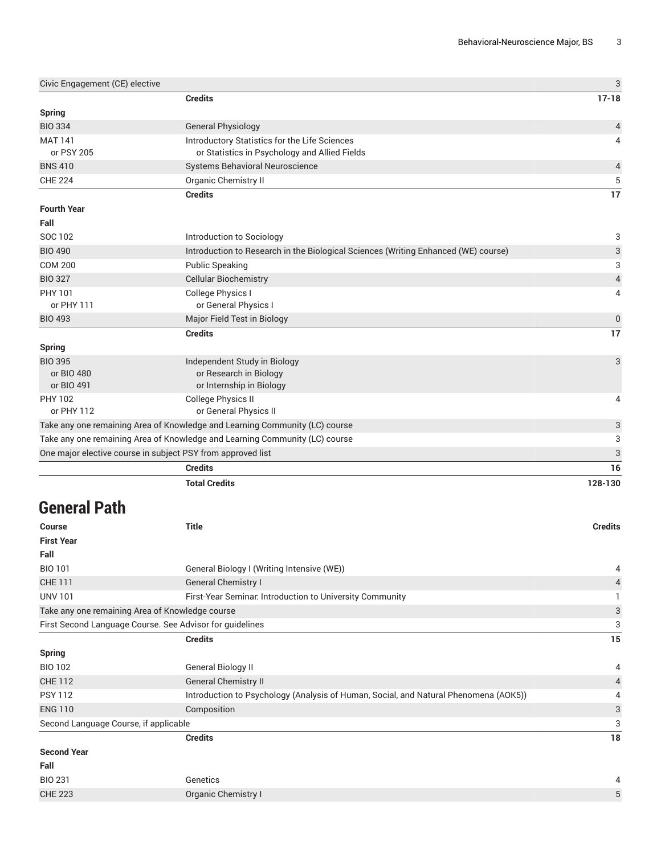| Civic Engagement (CE) elective                                              |                                                                                    | 3              |
|-----------------------------------------------------------------------------|------------------------------------------------------------------------------------|----------------|
|                                                                             | <b>Credits</b>                                                                     | $17 - 18$      |
| <b>Spring</b>                                                               |                                                                                    |                |
| <b>BIO 334</b>                                                              | <b>General Physiology</b>                                                          | 4              |
| <b>MAT 141</b>                                                              | Introductory Statistics for the Life Sciences                                      | 4              |
| or PSY 205                                                                  | or Statistics in Psychology and Allied Fields                                      |                |
| <b>BNS 410</b>                                                              | Systems Behavioral Neuroscience                                                    | 4              |
| <b>CHE 224</b>                                                              | Organic Chemistry II                                                               | 5              |
|                                                                             | <b>Credits</b>                                                                     | 17             |
| <b>Fourth Year</b>                                                          |                                                                                    |                |
| Fall                                                                        |                                                                                    |                |
| SOC 102                                                                     | Introduction to Sociology                                                          | 3              |
| <b>BIO 490</b>                                                              | Introduction to Research in the Biological Sciences (Writing Enhanced (WE) course) | 3              |
| <b>COM 200</b>                                                              | <b>Public Speaking</b>                                                             | 3              |
| <b>BIO 327</b>                                                              | <b>Cellular Biochemistry</b>                                                       | $\overline{4}$ |
| PHY 101                                                                     | College Physics I                                                                  | 4              |
| or PHY 111                                                                  | or General Physics I                                                               |                |
| <b>BIO 493</b>                                                              | Major Field Test in Biology                                                        | $\mathbf 0$    |
|                                                                             | <b>Credits</b>                                                                     | 17             |
| <b>Spring</b>                                                               |                                                                                    |                |
| <b>BIO 395</b>                                                              | Independent Study in Biology                                                       | 3              |
| or BIO 480                                                                  | or Research in Biology                                                             |                |
| or BIO 491                                                                  | or Internship in Biology                                                           |                |
| <b>PHY 102</b>                                                              | <b>College Physics II</b>                                                          | 4              |
| or PHY 112                                                                  | or General Physics II                                                              |                |
| Take any one remaining Area of Knowledge and Learning Community (LC) course |                                                                                    | 3              |
| Take any one remaining Area of Knowledge and Learning Community (LC) course |                                                                                    | 3              |
| One major elective course in subject PSY from approved list                 |                                                                                    | 3              |
|                                                                             | <b>Credits</b>                                                                     | 16             |
|                                                                             | <b>Total Credits</b>                                                               | 128-130        |

## **General Path**

| <b>Course</b>                                            | <b>Title</b>                                                                         | <b>Credits</b> |
|----------------------------------------------------------|--------------------------------------------------------------------------------------|----------------|
| <b>First Year</b>                                        |                                                                                      |                |
| Fall                                                     |                                                                                      |                |
| <b>BIO 101</b>                                           | General Biology I (Writing Intensive (WE))                                           | 4              |
| <b>CHE 111</b>                                           | <b>General Chemistry I</b>                                                           | $\overline{4}$ |
| <b>UNV 101</b>                                           | First-Year Seminar. Introduction to University Community                             |                |
| Take any one remaining Area of Knowledge course          |                                                                                      | 3              |
| First Second Language Course. See Advisor for guidelines |                                                                                      | 3              |
|                                                          | <b>Credits</b>                                                                       | 15             |
| <b>Spring</b>                                            |                                                                                      |                |
| <b>BIO 102</b>                                           | General Biology II                                                                   | 4              |
| <b>CHE 112</b>                                           | <b>General Chemistry II</b>                                                          | 4              |
| <b>PSY 112</b>                                           | Introduction to Psychology (Analysis of Human, Social, and Natural Phenomena (AOK5)) | 4              |
| <b>ENG 110</b>                                           | Composition                                                                          | 3              |
| Second Language Course, if applicable                    |                                                                                      | 3              |
|                                                          | <b>Credits</b>                                                                       | 18             |
| <b>Second Year</b>                                       |                                                                                      |                |
| Fall                                                     |                                                                                      |                |
| <b>BIO 231</b>                                           | Genetics                                                                             | 4              |
| <b>CHE 223</b>                                           | Organic Chemistry I                                                                  | 5              |